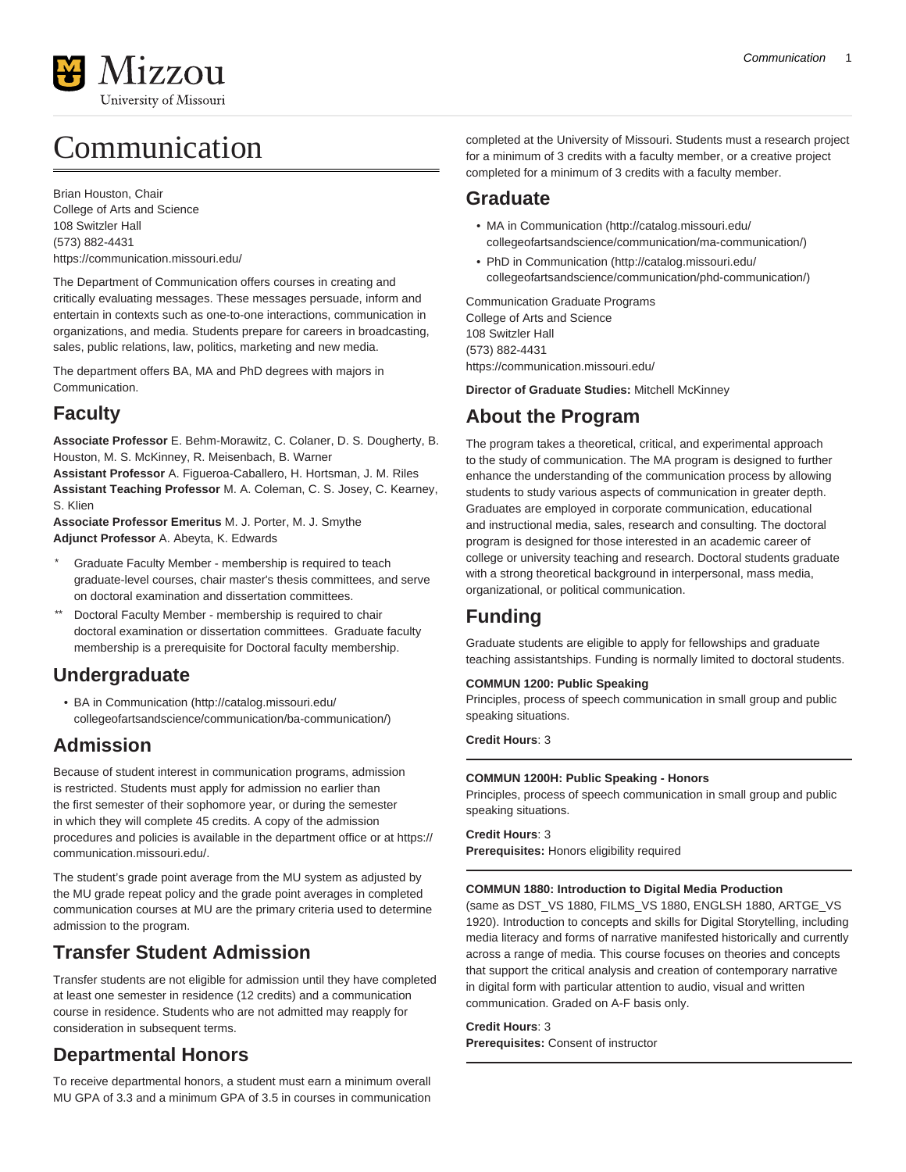

# Communication

Brian Houston, Chair College of Arts and Science 108 Switzler Hall (573) 882-4431 <https://communication.missouri.edu/>

The Department of Communication offers courses in creating and critically evaluating messages. These messages persuade, inform and entertain in contexts such as one-to-one interactions, communication in organizations, and media. Students prepare for careers in broadcasting, sales, public relations, law, politics, marketing and new media.

The department offers BA, MA and PhD degrees with majors in Communication.

## **Faculty**

**Associate Professor** E. Behm-Morawitz, C. Colaner, D. S. Dougherty, B. Houston, M. S. McKinney, R. Meisenbach, B. Warner **Assistant Professor** A. Figueroa-Caballero, H. Hortsman, J. M. Riles

**Assistant Teaching Professor** M. A. Coleman, C. S. Josey, C. Kearney, S. Klien

**Associate Professor Emeritus** M. J. Porter, M. J. Smythe **Adjunct Professor** A. Abeyta, K. Edwards

- Graduate Faculty Member membership is required to teach graduate-level courses, chair master's thesis committees, and serve on doctoral examination and dissertation committees.
- \*\* Doctoral Faculty Member membership is required to chair doctoral examination or dissertation committees. Graduate faculty membership is a prerequisite for Doctoral faculty membership.

## **Undergraduate**

• [BA in Communication](http://catalog.missouri.edu/collegeofartsandscience/communication/ba-communication/) ([http://catalog.missouri.edu/](http://catalog.missouri.edu/collegeofartsandscience/communication/ba-communication/) [collegeofartsandscience/communication/ba-communication/\)](http://catalog.missouri.edu/collegeofartsandscience/communication/ba-communication/)

## **Admission**

Because of student interest in communication programs, admission is restricted. Students must apply for admission no earlier than the first semester of their sophomore year, or during the semester in which they will complete 45 credits. A copy of the admission procedures and policies is available in the department office or at [https://](https://communication.missouri.edu/) [communication.missouri.edu/.](https://communication.missouri.edu/)

The student's grade point average from the MU system as adjusted by the MU grade repeat policy and the grade point averages in completed communication courses at MU are the primary criteria used to determine admission to the program.

## **Transfer Student Admission**

Transfer students are not eligible for admission until they have completed at least one semester in residence (12 credits) and a communication course in residence. Students who are not admitted may reapply for consideration in subsequent terms.

## **Departmental Honors**

To receive departmental honors, a student must earn a minimum overall MU GPA of 3.3 and a minimum GPA of 3.5 in courses in communication completed at the University of Missouri. Students must a research project for a minimum of 3 credits with a faculty member, or a creative project completed for a minimum of 3 credits with a faculty member.

## **Graduate**

- [MA in Communication](http://catalog.missouri.edu/collegeofartsandscience/communication/ma-communication/) [\(http://catalog.missouri.edu/](http://catalog.missouri.edu/collegeofartsandscience/communication/ma-communication/) [collegeofartsandscience/communication/ma-communication/\)](http://catalog.missouri.edu/collegeofartsandscience/communication/ma-communication/)
- [PhD in Communication](http://catalog.missouri.edu/collegeofartsandscience/communication/phd-communication/) ([http://catalog.missouri.edu/](http://catalog.missouri.edu/collegeofartsandscience/communication/phd-communication/) [collegeofartsandscience/communication/phd-communication/](http://catalog.missouri.edu/collegeofartsandscience/communication/phd-communication/))

Communication Graduate Programs College of Arts and Science 108 Switzler Hall (573) 882-4431 <https://communication.missouri.edu/>

**Director of Graduate Studies:** Mitchell McKinney

## **About the Program**

The program takes a theoretical, critical, and experimental approach to the study of communication. The MA program is designed to further enhance the understanding of the communication process by allowing students to study various aspects of communication in greater depth. Graduates are employed in corporate communication, educational and instructional media, sales, research and consulting. The doctoral program is designed for those interested in an academic career of college or university teaching and research. Doctoral students graduate with a strong theoretical background in interpersonal, mass media, organizational, or political communication.

## **Funding**

Graduate students are eligible to apply for fellowships and graduate teaching assistantships. Funding is normally limited to doctoral students.

## **COMMUN 1200: Public Speaking**

Principles, process of speech communication in small group and public speaking situations.

**Credit Hours**: 3

## **COMMUN 1200H: Public Speaking - Honors**

Principles, process of speech communication in small group and public speaking situations.

## **Credit Hours**: 3

**Prerequisites:** Honors eligibility required

## **COMMUN 1880: Introduction to Digital Media Production**

(same as DST\_VS 1880, FILMS\_VS 1880, ENGLSH 1880, ARTGE\_VS 1920). Introduction to concepts and skills for Digital Storytelling, including media literacy and forms of narrative manifested historically and currently across a range of media. This course focuses on theories and concepts that support the critical analysis and creation of contemporary narrative in digital form with particular attention to audio, visual and written communication. Graded on A-F basis only.

## **Credit Hours**: 3

**Prerequisites:** Consent of instructor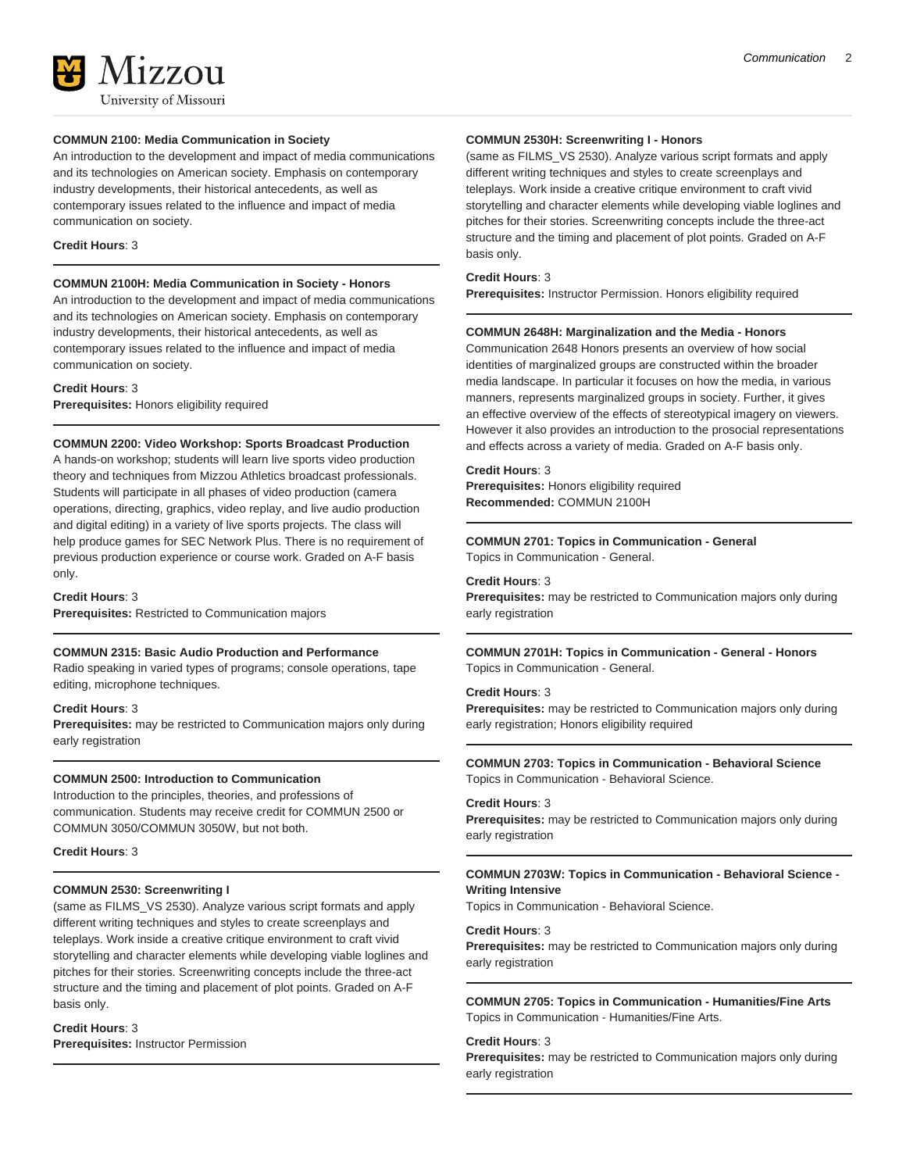University of Missouri

**177011** 

## **COMMUN 2100: Media Communication in Society**

An introduction to the development and impact of media communications and its technologies on American society. Emphasis on contemporary industry developments, their historical antecedents, as well as contemporary issues related to the influence and impact of media communication on society.

#### **Credit Hours**: 3

## **COMMUN 2100H: Media Communication in Society - Honors**

An introduction to the development and impact of media communications and its technologies on American society. Emphasis on contemporary industry developments, their historical antecedents, as well as contemporary issues related to the influence and impact of media communication on society.

#### **Credit Hours**: 3

**Prerequisites:** Honors eligibility required

#### **COMMUN 2200: Video Workshop: Sports Broadcast Production**

A hands-on workshop; students will learn live sports video production theory and techniques from Mizzou Athletics broadcast professionals. Students will participate in all phases of video production (camera operations, directing, graphics, video replay, and live audio production and digital editing) in a variety of live sports projects. The class will help produce games for SEC Network Plus. There is no requirement of previous production experience or course work. Graded on A-F basis only.

**Credit Hours**: 3

**Prerequisites:** Restricted to Communication majors

#### **COMMUN 2315: Basic Audio Production and Performance**

Radio speaking in varied types of programs; console operations, tape editing, microphone techniques.

#### **Credit Hours**: 3

**Prerequisites:** may be restricted to Communication majors only during early registration

## **COMMUN 2500: Introduction to Communication**

Introduction to the principles, theories, and professions of communication. Students may receive credit for COMMUN 2500 or COMMUN 3050/COMMUN 3050W, but not both.

#### **Credit Hours**: 3

#### **COMMUN 2530: Screenwriting I**

(same as FILMS\_VS 2530). Analyze various script formats and apply different writing techniques and styles to create screenplays and teleplays. Work inside a creative critique environment to craft vivid storytelling and character elements while developing viable loglines and pitches for their stories. Screenwriting concepts include the three-act structure and the timing and placement of plot points. Graded on A-F basis only.

#### **Credit Hours**: 3

**Prerequisites:** Instructor Permission

#### **COMMUN 2530H: Screenwriting I - Honors**

(same as FILMS\_VS 2530). Analyze various script formats and apply different writing techniques and styles to create screenplays and teleplays. Work inside a creative critique environment to craft vivid storytelling and character elements while developing viable loglines and pitches for their stories. Screenwriting concepts include the three-act structure and the timing and placement of plot points. Graded on A-F basis only.

#### **Credit Hours**: 3

**Prerequisites:** Instructor Permission. Honors eligibility required

## **COMMUN 2648H: Marginalization and the Media - Honors**

Communication 2648 Honors presents an overview of how social identities of marginalized groups are constructed within the broader media landscape. In particular it focuses on how the media, in various manners, represents marginalized groups in society. Further, it gives an effective overview of the effects of stereotypical imagery on viewers. However it also provides an introduction to the prosocial representations and effects across a variety of media. Graded on A-F basis only.

## **Credit Hours**: 3

**Prerequisites:** Honors eligibility required **Recommended:** COMMUN 2100H

## **COMMUN 2701: Topics in Communication - General**

Topics in Communication - General.

**Credit Hours**: 3

**Prerequisites:** may be restricted to Communication majors only during early registration

**COMMUN 2701H: Topics in Communication - General - Honors** Topics in Communication - General.

## **Credit Hours**: 3

**Prerequisites:** may be restricted to Communication majors only during early registration; Honors eligibility required

**COMMUN 2703: Topics in Communication - Behavioral Science** Topics in Communication - Behavioral Science.

#### **Credit Hours**: 3

**Prerequisites:** may be restricted to Communication majors only during early registration

## **COMMUN 2703W: Topics in Communication - Behavioral Science - Writing Intensive**

Topics in Communication - Behavioral Science.

#### **Credit Hours**: 3

**Prerequisites:** may be restricted to Communication majors only during early registration

#### **COMMUN 2705: Topics in Communication - Humanities/Fine Arts** Topics in Communication - Humanities/Fine Arts.

## **Credit Hours**: 3

**Prerequisites:** may be restricted to Communication majors only during early registration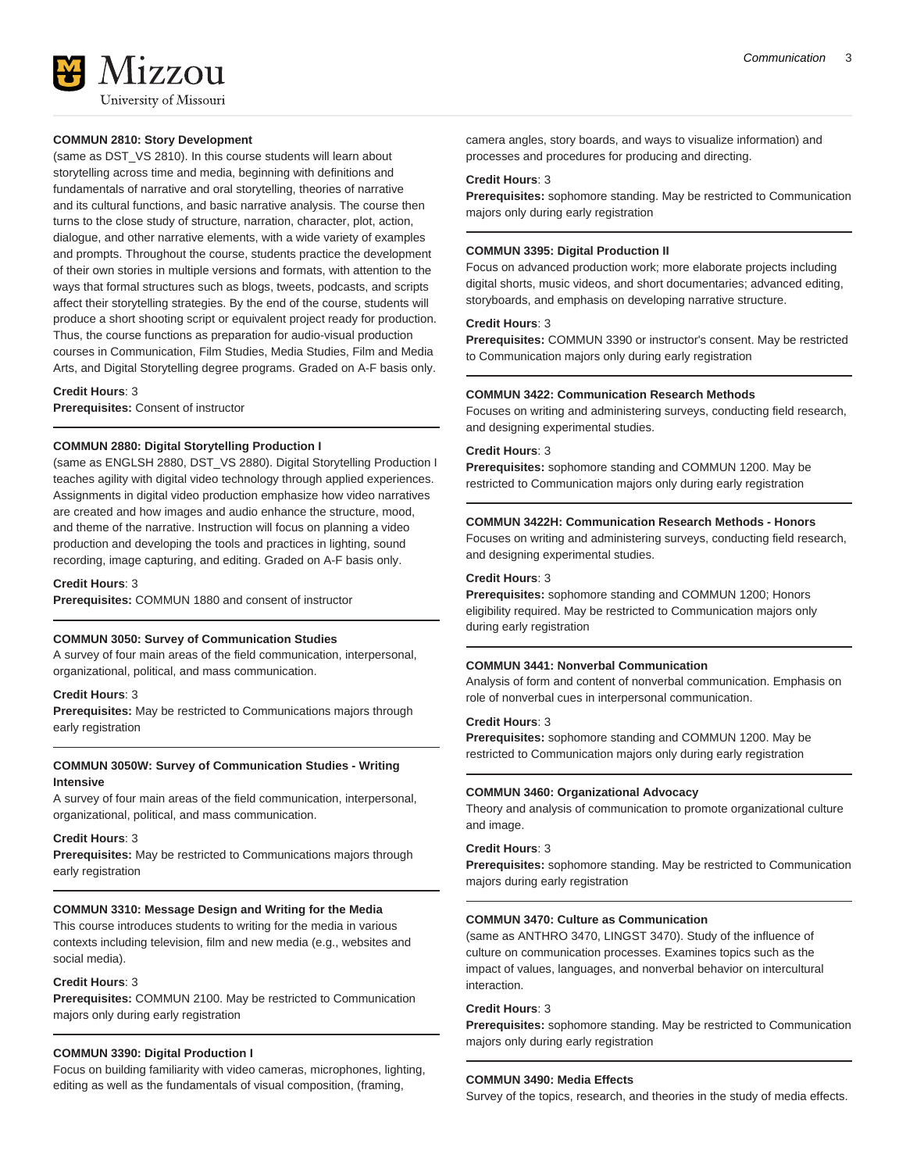

#### **COMMUN 2810: Story Development**

(same as DST\_VS 2810). In this course students will learn about storytelling across time and media, beginning with definitions and fundamentals of narrative and oral storytelling, theories of narrative and its cultural functions, and basic narrative analysis. The course then turns to the close study of structure, narration, character, plot, action, dialogue, and other narrative elements, with a wide variety of examples and prompts. Throughout the course, students practice the development of their own stories in multiple versions and formats, with attention to the ways that formal structures such as blogs, tweets, podcasts, and scripts affect their storytelling strategies. By the end of the course, students will produce a short shooting script or equivalent project ready for production. Thus, the course functions as preparation for audio-visual production courses in Communication, Film Studies, Media Studies, Film and Media Arts, and Digital Storytelling degree programs. Graded on A-F basis only.

#### **Credit Hours**: 3

**Prerequisites:** Consent of instructor

## **COMMUN 2880: Digital Storytelling Production I**

(same as ENGLSH 2880, DST\_VS 2880). Digital Storytelling Production I teaches agility with digital video technology through applied experiences. Assignments in digital video production emphasize how video narratives are created and how images and audio enhance the structure, mood, and theme of the narrative. Instruction will focus on planning a video production and developing the tools and practices in lighting, sound recording, image capturing, and editing. Graded on A-F basis only.

**Credit Hours**: 3

**Prerequisites:** COMMUN 1880 and consent of instructor

#### **COMMUN 3050: Survey of Communication Studies**

A survey of four main areas of the field communication, interpersonal, organizational, political, and mass communication.

#### **Credit Hours**: 3

**Prerequisites:** May be restricted to Communications majors through early registration

## **COMMUN 3050W: Survey of Communication Studies - Writing Intensive**

A survey of four main areas of the field communication, interpersonal, organizational, political, and mass communication.

#### **Credit Hours**: 3

**Prerequisites:** May be restricted to Communications majors through early registration

#### **COMMUN 3310: Message Design and Writing for the Media**

This course introduces students to writing for the media in various contexts including television, film and new media (e.g., websites and social media).

#### **Credit Hours**: 3

**Prerequisites:** COMMUN 2100. May be restricted to Communication majors only during early registration

#### **COMMUN 3390: Digital Production I**

Focus on building familiarity with video cameras, microphones, lighting, editing as well as the fundamentals of visual composition, (framing,

camera angles, story boards, and ways to visualize information) and processes and procedures for producing and directing.

#### **Credit Hours**: 3

**Prerequisites:** sophomore standing. May be restricted to Communication majors only during early registration

## **COMMUN 3395: Digital Production II**

Focus on advanced production work; more elaborate projects including digital shorts, music videos, and short documentaries; advanced editing, storyboards, and emphasis on developing narrative structure.

## **Credit Hours**: 3

**Prerequisites:** COMMUN 3390 or instructor's consent. May be restricted to Communication majors only during early registration

#### **COMMUN 3422: Communication Research Methods**

Focuses on writing and administering surveys, conducting field research, and designing experimental studies.

#### **Credit Hours**: 3

**Prerequisites:** sophomore standing and COMMUN 1200. May be restricted to Communication majors only during early registration

#### **COMMUN 3422H: Communication Research Methods - Honors**

Focuses on writing and administering surveys, conducting field research, and designing experimental studies.

#### **Credit Hours**: 3

**Prerequisites:** sophomore standing and COMMUN 1200; Honors eligibility required. May be restricted to Communication majors only during early registration

#### **COMMUN 3441: Nonverbal Communication**

Analysis of form and content of nonverbal communication. Emphasis on role of nonverbal cues in interpersonal communication.

#### **Credit Hours**: 3

**Prerequisites:** sophomore standing and COMMUN 1200. May be restricted to Communication majors only during early registration

#### **COMMUN 3460: Organizational Advocacy**

Theory and analysis of communication to promote organizational culture and image.

#### **Credit Hours**: 3

**Prerequisites:** sophomore standing. May be restricted to Communication majors during early registration

## **COMMUN 3470: Culture as Communication**

(same as ANTHRO 3470, LINGST 3470). Study of the influence of culture on communication processes. Examines topics such as the impact of values, languages, and nonverbal behavior on intercultural interaction.

## **Credit Hours**: 3

**Prerequisites:** sophomore standing. May be restricted to Communication majors only during early registration

#### **COMMUN 3490: Media Effects**

Survey of the topics, research, and theories in the study of media effects.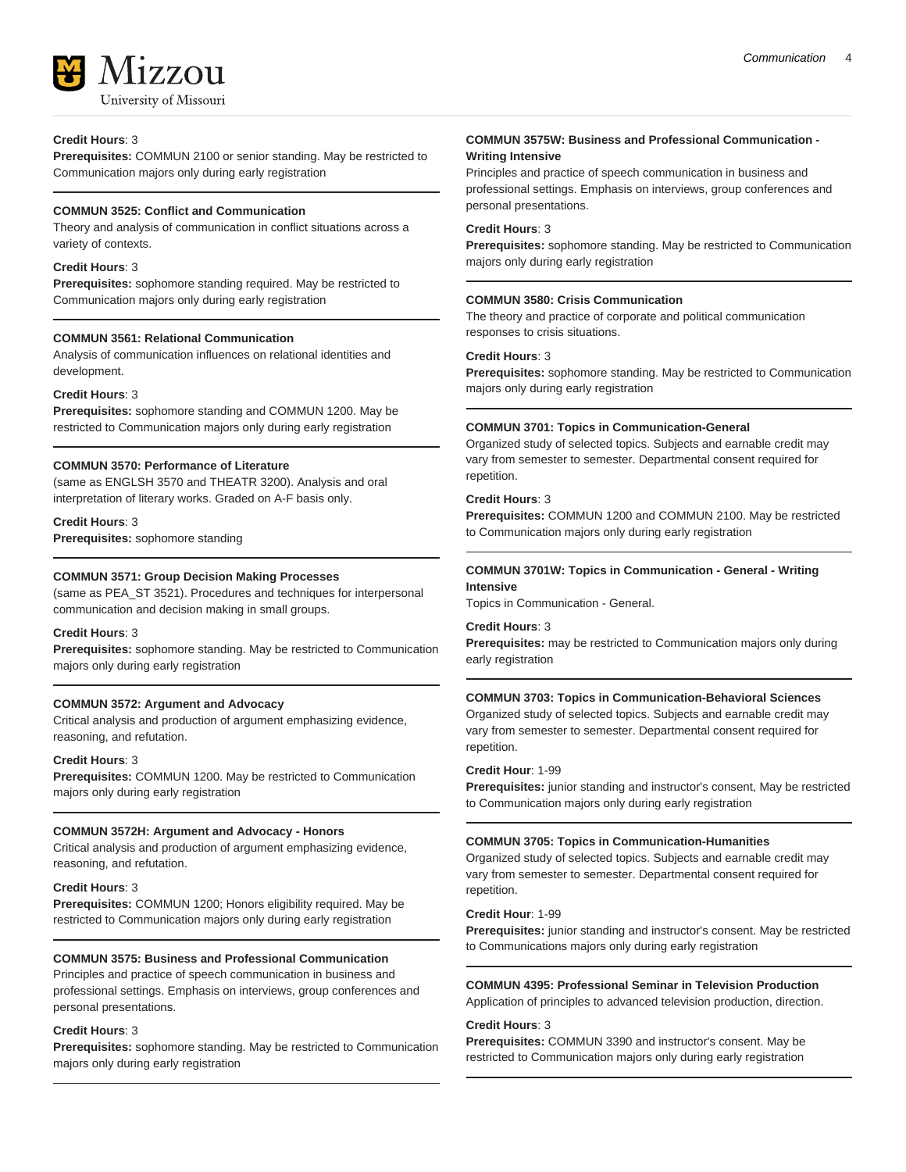

## **Credit Hours**: 3

**Prerequisites:** COMMUN 2100 or senior standing. May be restricted to Communication majors only during early registration

## **COMMUN 3525: Conflict and Communication**

Theory and analysis of communication in conflict situations across a variety of contexts.

## **Credit Hours**: 3

**Prerequisites:** sophomore standing required. May be restricted to Communication majors only during early registration

## **COMMUN 3561: Relational Communication**

Analysis of communication influences on relational identities and development.

## **Credit Hours**: 3

**Prerequisites:** sophomore standing and COMMUN 1200. May be restricted to Communication majors only during early registration

## **COMMUN 3570: Performance of Literature**

(same as ENGLSH 3570 and THEATR 3200). Analysis and oral interpretation of literary works. Graded on A-F basis only.

**Credit Hours**: 3

**Prerequisites:** sophomore standing

## **COMMUN 3571: Group Decision Making Processes**

(same as PEA\_ST 3521). Procedures and techniques for interpersonal communication and decision making in small groups.

## **Credit Hours**: 3

**Prerequisites:** sophomore standing. May be restricted to Communication majors only during early registration

## **COMMUN 3572: Argument and Advocacy**

Critical analysis and production of argument emphasizing evidence, reasoning, and refutation.

## **Credit Hours**: 3

**Prerequisites:** COMMUN 1200. May be restricted to Communication majors only during early registration

## **COMMUN 3572H: Argument and Advocacy - Honors**

Critical analysis and production of argument emphasizing evidence, reasoning, and refutation.

## **Credit Hours**: 3

**Prerequisites:** COMMUN 1200; Honors eligibility required. May be restricted to Communication majors only during early registration

## **COMMUN 3575: Business and Professional Communication**

Principles and practice of speech communication in business and professional settings. Emphasis on interviews, group conferences and personal presentations.

## **Credit Hours**: 3

**Prerequisites:** sophomore standing. May be restricted to Communication majors only during early registration

## **COMMUN 3575W: Business and Professional Communication - Writing Intensive**

Principles and practice of speech communication in business and professional settings. Emphasis on interviews, group conferences and personal presentations.

### **Credit Hours**: 3

**Prerequisites:** sophomore standing. May be restricted to Communication majors only during early registration

## **COMMUN 3580: Crisis Communication**

The theory and practice of corporate and political communication responses to crisis situations.

## **Credit Hours**: 3

**Prerequisites:** sophomore standing. May be restricted to Communication majors only during early registration

## **COMMUN 3701: Topics in Communication-General**

Organized study of selected topics. Subjects and earnable credit may vary from semester to semester. Departmental consent required for repetition.

#### **Credit Hours**: 3

**Prerequisites:** COMMUN 1200 and COMMUN 2100. May be restricted to Communication majors only during early registration

#### **COMMUN 3701W: Topics in Communication - General - Writing Intensive**

Topics in Communication - General.

## **Credit Hours**: 3

**Prerequisites:** may be restricted to Communication majors only during early registration

## **COMMUN 3703: Topics in Communication-Behavioral Sciences**

Organized study of selected topics. Subjects and earnable credit may vary from semester to semester. Departmental consent required for repetition.

#### **Credit Hour**: 1-99

**Prerequisites:** junior standing and instructor's consent, May be restricted to Communication majors only during early registration

## **COMMUN 3705: Topics in Communication-Humanities**

Organized study of selected topics. Subjects and earnable credit may vary from semester to semester. Departmental consent required for repetition.

#### **Credit Hour**: 1-99

**Prerequisites:** junior standing and instructor's consent. May be restricted to Communications majors only during early registration

## **COMMUN 4395: Professional Seminar in Television Production**

Application of principles to advanced television production, direction.

#### **Credit Hours**: 3

**Prerequisites:** COMMUN 3390 and instructor's consent. May be restricted to Communication majors only during early registration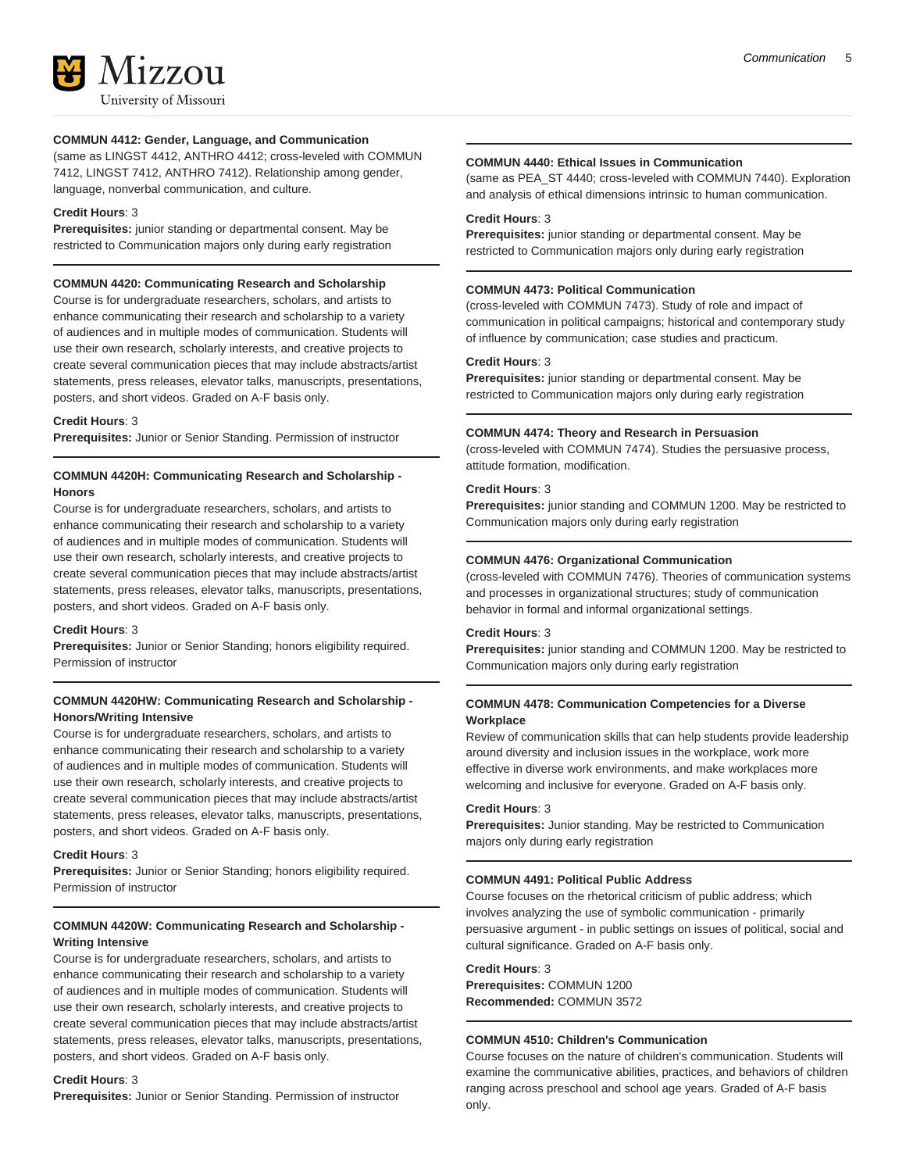

## **COMMUN 4412: Gender, Language, and Communication**

(same as LINGST 4412, ANTHRO 4412; cross-leveled with COMMUN 7412, LINGST 7412, ANTHRO 7412). Relationship among gender, language, nonverbal communication, and culture.

## **Credit Hours**: 3

**Prerequisites:** junior standing or departmental consent. May be restricted to Communication majors only during early registration

## **COMMUN 4420: Communicating Research and Scholarship**

Course is for undergraduate researchers, scholars, and artists to enhance communicating their research and scholarship to a variety of audiences and in multiple modes of communication. Students will use their own research, scholarly interests, and creative projects to create several communication pieces that may include abstracts/artist statements, press releases, elevator talks, manuscripts, presentations, posters, and short videos. Graded on A-F basis only.

## **Credit Hours**: 3

**Prerequisites:** Junior or Senior Standing. Permission of instructor

## **COMMUN 4420H: Communicating Research and Scholarship - Honors**

Course is for undergraduate researchers, scholars, and artists to enhance communicating their research and scholarship to a variety of audiences and in multiple modes of communication. Students will use their own research, scholarly interests, and creative projects to create several communication pieces that may include abstracts/artist statements, press releases, elevator talks, manuscripts, presentations, posters, and short videos. Graded on A-F basis only.

#### **Credit Hours**: 3

**Prerequisites:** Junior or Senior Standing; honors eligibility required. Permission of instructor

## **COMMUN 4420HW: Communicating Research and Scholarship - Honors/Writing Intensive**

Course is for undergraduate researchers, scholars, and artists to enhance communicating their research and scholarship to a variety of audiences and in multiple modes of communication. Students will use their own research, scholarly interests, and creative projects to create several communication pieces that may include abstracts/artist statements, press releases, elevator talks, manuscripts, presentations, posters, and short videos. Graded on A-F basis only.

## **Credit Hours**: 3

**Prerequisites:** Junior or Senior Standing; honors eligibility required. Permission of instructor

## **COMMUN 4420W: Communicating Research and Scholarship - Writing Intensive**

Course is for undergraduate researchers, scholars, and artists to enhance communicating their research and scholarship to a variety of audiences and in multiple modes of communication. Students will use their own research, scholarly interests, and creative projects to create several communication pieces that may include abstracts/artist statements, press releases, elevator talks, manuscripts, presentations, posters, and short videos. Graded on A-F basis only.

#### **Credit Hours**: 3

**Prerequisites:** Junior or Senior Standing. Permission of instructor

## **COMMUN 4440: Ethical Issues in Communication**

(same as PEA\_ST 4440; cross-leveled with COMMUN 7440). Exploration and analysis of ethical dimensions intrinsic to human communication.

#### **Credit Hours**: 3

**Prerequisites:** junior standing or departmental consent. May be restricted to Communication majors only during early registration

## **COMMUN 4473: Political Communication**

(cross-leveled with COMMUN 7473). Study of role and impact of communication in political campaigns; historical and contemporary study of influence by communication; case studies and practicum.

#### **Credit Hours**: 3

**Prerequisites:** junior standing or departmental consent. May be restricted to Communication majors only during early registration

## **COMMUN 4474: Theory and Research in Persuasion**

(cross-leveled with COMMUN 7474). Studies the persuasive process, attitude formation, modification.

## **Credit Hours**: 3

**Prerequisites:** junior standing and COMMUN 1200. May be restricted to Communication majors only during early registration

## **COMMUN 4476: Organizational Communication**

(cross-leveled with COMMUN 7476). Theories of communication systems and processes in organizational structures; study of communication behavior in formal and informal organizational settings.

#### **Credit Hours**: 3

**Prerequisites:** junior standing and COMMUN 1200. May be restricted to Communication majors only during early registration

## **COMMUN 4478: Communication Competencies for a Diverse Workplace**

Review of communication skills that can help students provide leadership around diversity and inclusion issues in the workplace, work more effective in diverse work environments, and make workplaces more welcoming and inclusive for everyone. Graded on A-F basis only.

## **Credit Hours**: 3

**Prerequisites:** Junior standing. May be restricted to Communication majors only during early registration

## **COMMUN 4491: Political Public Address**

Course focuses on the rhetorical criticism of public address; which involves analyzing the use of symbolic communication - primarily persuasive argument - in public settings on issues of political, social and cultural significance. Graded on A-F basis only.

## **Credit Hours**: 3

**Prerequisites:** COMMUN 1200 **Recommended:** COMMUN 3572

## **COMMUN 4510: Children's Communication**

Course focuses on the nature of children's communication. Students will examine the communicative abilities, practices, and behaviors of children ranging across preschool and school age years. Graded of A-F basis only.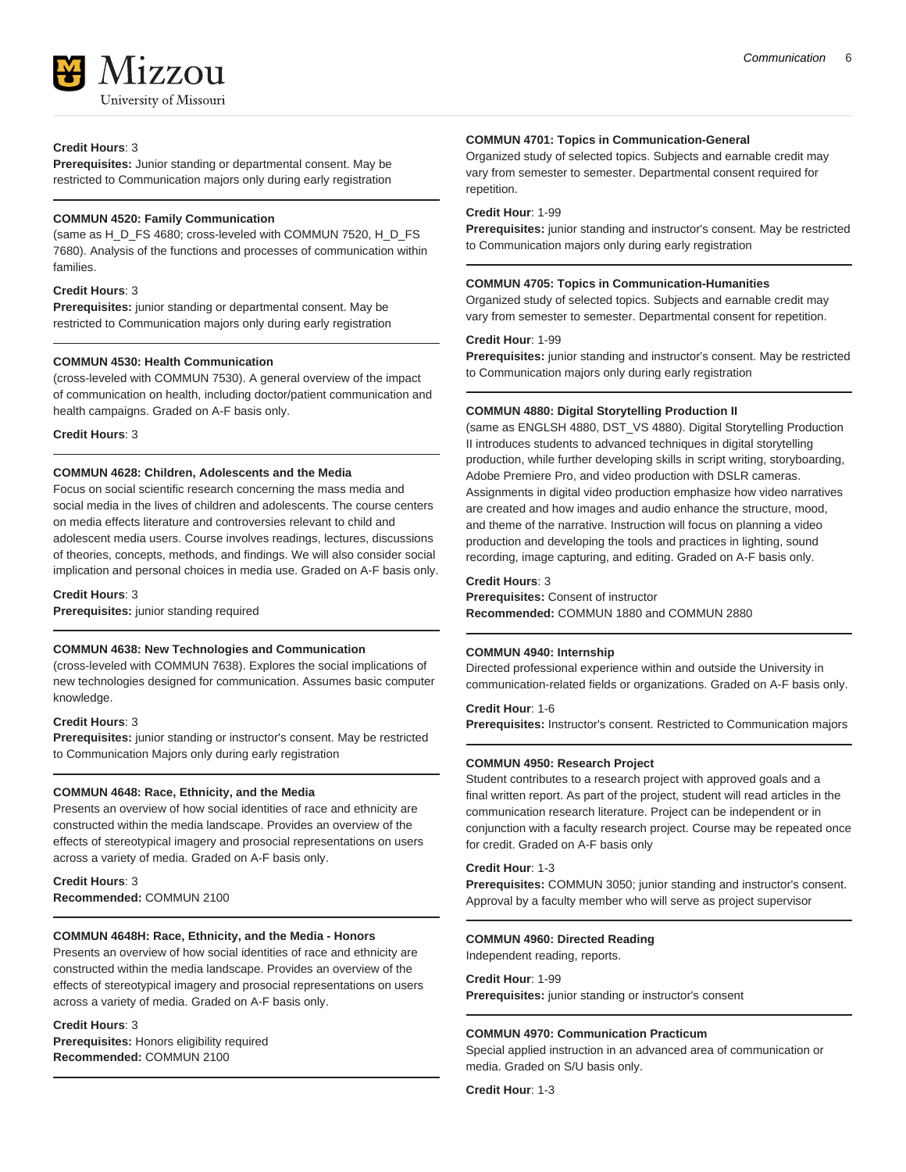

## **Credit Hours**: 3

**Prerequisites:** Junior standing or departmental consent. May be restricted to Communication majors only during early registration

## **COMMUN 4520: Family Communication**

(same as H\_D\_FS 4680; cross-leveled with COMMUN 7520, H\_D\_FS 7680). Analysis of the functions and processes of communication within families.

## **Credit Hours**: 3

**Prerequisites:** junior standing or departmental consent. May be restricted to Communication majors only during early registration

## **COMMUN 4530: Health Communication**

(cross-leveled with COMMUN 7530). A general overview of the impact of communication on health, including doctor/patient communication and health campaigns. Graded on A-F basis only.

**Credit Hours**: 3

## **COMMUN 4628: Children, Adolescents and the Media**

Focus on social scientific research concerning the mass media and social media in the lives of children and adolescents. The course centers on media effects literature and controversies relevant to child and adolescent media users. Course involves readings, lectures, discussions of theories, concepts, methods, and findings. We will also consider social implication and personal choices in media use. Graded on A-F basis only.

#### **Credit Hours**: 3

**Prerequisites:** junior standing required

## **COMMUN 4638: New Technologies and Communication**

(cross-leveled with COMMUN 7638). Explores the social implications of new technologies designed for communication. Assumes basic computer knowledge.

#### **Credit Hours**: 3

**Prerequisites:** junior standing or instructor's consent. May be restricted to Communication Majors only during early registration

#### **COMMUN 4648: Race, Ethnicity, and the Media**

Presents an overview of how social identities of race and ethnicity are constructed within the media landscape. Provides an overview of the effects of stereotypical imagery and prosocial representations on users across a variety of media. Graded on A-F basis only.

**Credit Hours**: 3 **Recommended:** COMMUN 2100

## **COMMUN 4648H: Race, Ethnicity, and the Media - Honors**

Presents an overview of how social identities of race and ethnicity are constructed within the media landscape. Provides an overview of the effects of stereotypical imagery and prosocial representations on users across a variety of media. Graded on A-F basis only.

#### **Credit Hours**: 3

**Prerequisites:** Honors eligibility required **Recommended:** COMMUN 2100

#### **COMMUN 4701: Topics in Communication-General**

Organized study of selected topics. Subjects and earnable credit may vary from semester to semester. Departmental consent required for repetition.

## **Credit Hour**: 1-99

**Prerequisites:** junior standing and instructor's consent. May be restricted to Communication majors only during early registration

#### **COMMUN 4705: Topics in Communication-Humanities**

Organized study of selected topics. Subjects and earnable credit may vary from semester to semester. Departmental consent for repetition.

### **Credit Hour**: 1-99

**Prerequisites:** junior standing and instructor's consent. May be restricted to Communication majors only during early registration

#### **COMMUN 4880: Digital Storytelling Production II**

(same as ENGLSH 4880, DST\_VS 4880). Digital Storytelling Production II introduces students to advanced techniques in digital storytelling production, while further developing skills in script writing, storyboarding, Adobe Premiere Pro, and video production with DSLR cameras. Assignments in digital video production emphasize how video narratives are created and how images and audio enhance the structure, mood, and theme of the narrative. Instruction will focus on planning a video production and developing the tools and practices in lighting, sound recording, image capturing, and editing. Graded on A-F basis only.

## **Credit Hours**: 3

**Prerequisites:** Consent of instructor **Recommended:** COMMUN 1880 and COMMUN 2880

#### **COMMUN 4940: Internship**

Directed professional experience within and outside the University in communication-related fields or organizations. Graded on A-F basis only.

#### **Credit Hour**: 1-6

**Prerequisites:** Instructor's consent. Restricted to Communication majors

#### **COMMUN 4950: Research Project**

Student contributes to a research project with approved goals and a final written report. As part of the project, student will read articles in the communication research literature. Project can be independent or in conjunction with a faculty research project. Course may be repeated once for credit. Graded on A-F basis only

## **Credit Hour**: 1-3

**Prerequisites:** COMMUN 3050; junior standing and instructor's consent. Approval by a faculty member who will serve as project supervisor

## **COMMUN 4960: Directed Reading**

Independent reading, reports.

## **Credit Hour**: 1-99 **Prerequisites:** junior standing or instructor's consent

## **COMMUN 4970: Communication Practicum**

Special applied instruction in an advanced area of communication or media. Graded on S/U basis only.

**Credit Hour**: 1-3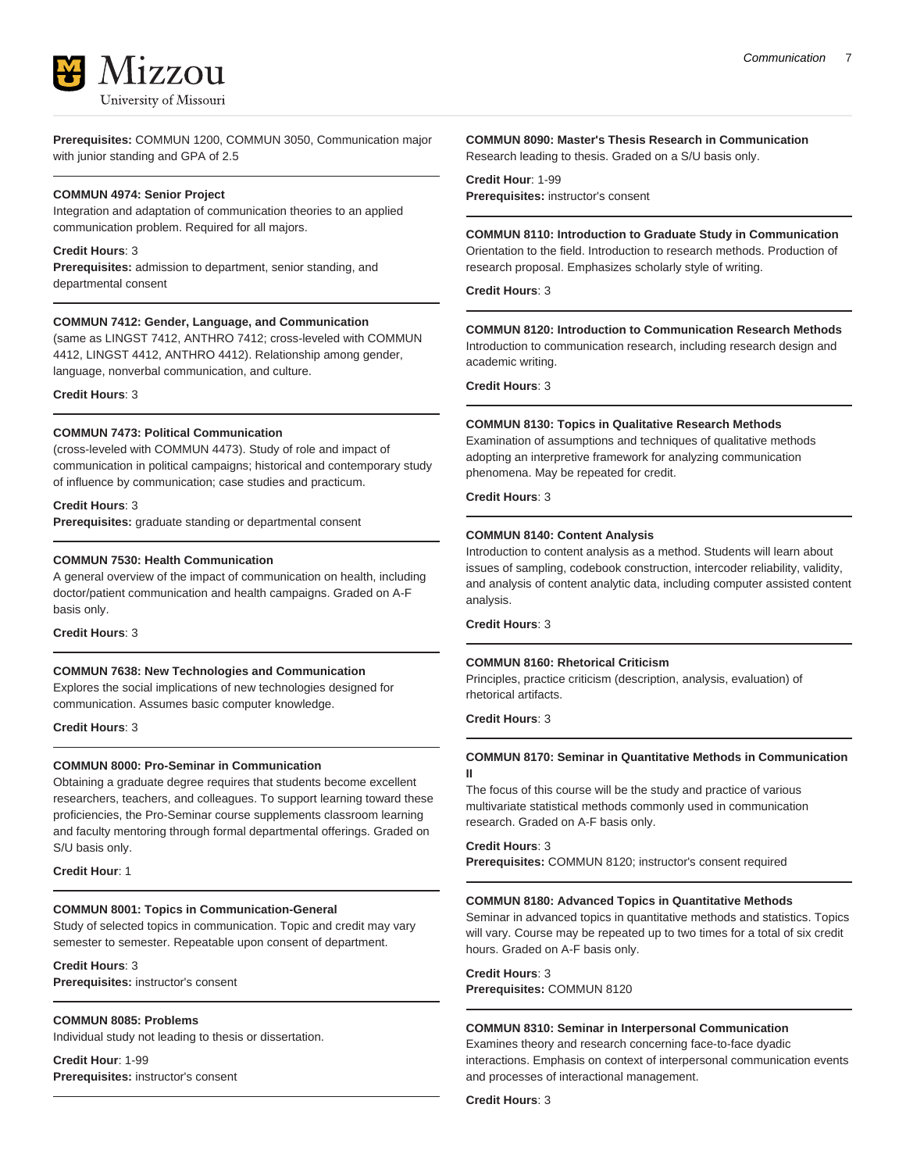

**Prerequisites:** COMMUN 1200, COMMUN 3050, Communication major with junior standing and GPA of 2.5

#### **COMMUN 4974: Senior Project**

Integration and adaptation of communication theories to an applied communication problem. Required for all majors.

#### **Credit Hours**: 3

**Prerequisites:** admission to department, senior standing, and departmental consent

#### **COMMUN 7412: Gender, Language, and Communication**

(same as LINGST 7412, ANTHRO 7412; cross-leveled with COMMUN 4412, LINGST 4412, ANTHRO 4412). Relationship among gender, language, nonverbal communication, and culture.

**Credit Hours**: 3

#### **COMMUN 7473: Political Communication**

(cross-leveled with COMMUN 4473). Study of role and impact of communication in political campaigns; historical and contemporary study of influence by communication; case studies and practicum.

### **Credit Hours**: 3

**Prerequisites:** graduate standing or departmental consent

#### **COMMUN 7530: Health Communication**

A general overview of the impact of communication on health, including doctor/patient communication and health campaigns. Graded on A-F basis only.

**Credit Hours**: 3

#### **COMMUN 7638: New Technologies and Communication**

Explores the social implications of new technologies designed for communication. Assumes basic computer knowledge.

**Credit Hours**: 3

#### **COMMUN 8000: Pro-Seminar in Communication**

Obtaining a graduate degree requires that students become excellent researchers, teachers, and colleagues. To support learning toward these proficiencies, the Pro-Seminar course supplements classroom learning and faculty mentoring through formal departmental offerings. Graded on S/U basis only.

#### **Credit Hour**: 1

#### **COMMUN 8001: Topics in Communication-General**

Study of selected topics in communication. Topic and credit may vary semester to semester. Repeatable upon consent of department.

#### **Credit Hours**: 3

**Prerequisites:** instructor's consent

#### **COMMUN 8085: Problems**

Individual study not leading to thesis or dissertation.

**Credit Hour**: 1-99 **Prerequisites:** instructor's consent

#### **COMMUN 8090: Master's Thesis Research in Communication** Research leading to thesis. Graded on a S/U basis only.

**Credit Hour**: 1-99 **Prerequisites:** instructor's consent

**COMMUN 8110: Introduction to Graduate Study in Communication** Orientation to the field. Introduction to research methods. Production of research proposal. Emphasizes scholarly style of writing.

**Credit Hours**: 3

## **COMMUN 8120: Introduction to Communication Research Methods**

Introduction to communication research, including research design and academic writing.

**Credit Hours**: 3

#### **COMMUN 8130: Topics in Qualitative Research Methods**

Examination of assumptions and techniques of qualitative methods adopting an interpretive framework for analyzing communication phenomena. May be repeated for credit.

**Credit Hours**: 3

## **COMMUN 8140: Content Analysis**

Introduction to content analysis as a method. Students will learn about issues of sampling, codebook construction, intercoder reliability, validity, and analysis of content analytic data, including computer assisted content analysis.

**Credit Hours**: 3

#### **COMMUN 8160: Rhetorical Criticism**

Principles, practice criticism (description, analysis, evaluation) of rhetorical artifacts.

**Credit Hours**: 3

**II**

## **COMMUN 8170: Seminar in Quantitative Methods in Communication**

The focus of this course will be the study and practice of various multivariate statistical methods commonly used in communication research. Graded on A-F basis only.

**Credit Hours**: 3

**Prerequisites:** COMMUN 8120; instructor's consent required

#### **COMMUN 8180: Advanced Topics in Quantitative Methods**

Seminar in advanced topics in quantitative methods and statistics. Topics will vary. Course may be repeated up to two times for a total of six credit hours. Graded on A-F basis only.

**Credit Hours**: 3 **Prerequisites:** COMMUN 8120

#### **COMMUN 8310: Seminar in Interpersonal Communication**

Examines theory and research concerning face-to-face dyadic interactions. Emphasis on context of interpersonal communication events and processes of interactional management.

**Credit Hours**: 3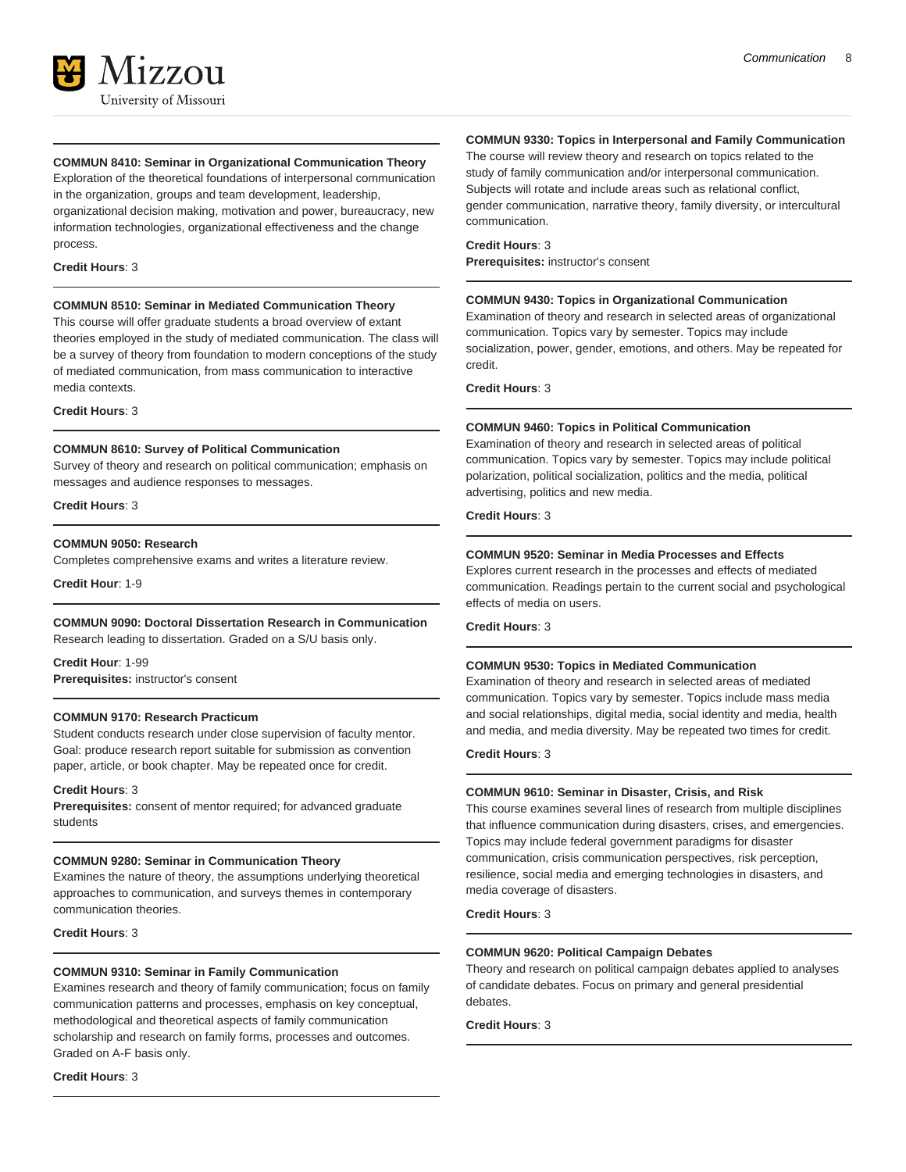

#### **COMMUN 8410: Seminar in Organizational Communication Theory**

Exploration of the theoretical foundations of interpersonal communication in the organization, groups and team development, leadership, organizational decision making, motivation and power, bureaucracy, new information technologies, organizational effectiveness and the change process.

#### **Credit Hours**: 3

#### **COMMUN 8510: Seminar in Mediated Communication Theory**

This course will offer graduate students a broad overview of extant theories employed in the study of mediated communication. The class will be a survey of theory from foundation to modern conceptions of the study of mediated communication, from mass communication to interactive media contexts.

**Credit Hours**: 3

#### **COMMUN 8610: Survey of Political Communication**

Survey of theory and research on political communication; emphasis on messages and audience responses to messages.

**Credit Hours**: 3

#### **COMMUN 9050: Research**

Completes comprehensive exams and writes a literature review.

**Credit Hour**: 1-9

## **COMMUN 9090: Doctoral Dissertation Research in Communication**

Research leading to dissertation. Graded on a S/U basis only.

**Credit Hour**: 1-99 **Prerequisites:** instructor's consent

## **COMMUN 9170: Research Practicum**

Student conducts research under close supervision of faculty mentor. Goal: produce research report suitable for submission as convention paper, article, or book chapter. May be repeated once for credit.

#### **Credit Hours**: 3

**Prerequisites:** consent of mentor required; for advanced graduate students

#### **COMMUN 9280: Seminar in Communication Theory**

Examines the nature of theory, the assumptions underlying theoretical approaches to communication, and surveys themes in contemporary communication theories.

**Credit Hours**: 3

#### **COMMUN 9310: Seminar in Family Communication**

Examines research and theory of family communication; focus on family communication patterns and processes, emphasis on key conceptual, methodological and theoretical aspects of family communication scholarship and research on family forms, processes and outcomes. Graded on A-F basis only.

**Credit Hours**: 3

#### **COMMUN 9330: Topics in Interpersonal and Family Communication**

The course will review theory and research on topics related to the study of family communication and/or interpersonal communication. Subjects will rotate and include areas such as relational conflict, gender communication, narrative theory, family diversity, or intercultural communication.

## **Credit Hours**: 3

**Prerequisites:** instructor's consent

#### **COMMUN 9430: Topics in Organizational Communication**

Examination of theory and research in selected areas of organizational communication. Topics vary by semester. Topics may include socialization, power, gender, emotions, and others. May be repeated for credit.

**Credit Hours**: 3

#### **COMMUN 9460: Topics in Political Communication**

Examination of theory and research in selected areas of political communication. Topics vary by semester. Topics may include political polarization, political socialization, politics and the media, political advertising, politics and new media.

## **Credit Hours**: 3

#### **COMMUN 9520: Seminar in Media Processes and Effects**

Explores current research in the processes and effects of mediated communication. Readings pertain to the current social and psychological effects of media on users.

## **Credit Hours**: 3

#### **COMMUN 9530: Topics in Mediated Communication**

Examination of theory and research in selected areas of mediated communication. Topics vary by semester. Topics include mass media and social relationships, digital media, social identity and media, health and media, and media diversity. May be repeated two times for credit.

## **Credit Hours**: 3

#### **COMMUN 9610: Seminar in Disaster, Crisis, and Risk**

This course examines several lines of research from multiple disciplines that influence communication during disasters, crises, and emergencies. Topics may include federal government paradigms for disaster communication, crisis communication perspectives, risk perception, resilience, social media and emerging technologies in disasters, and media coverage of disasters.

**Credit Hours**: 3

#### **COMMUN 9620: Political Campaign Debates**

Theory and research on political campaign debates applied to analyses of candidate debates. Focus on primary and general presidential debates.

**Credit Hours**: 3